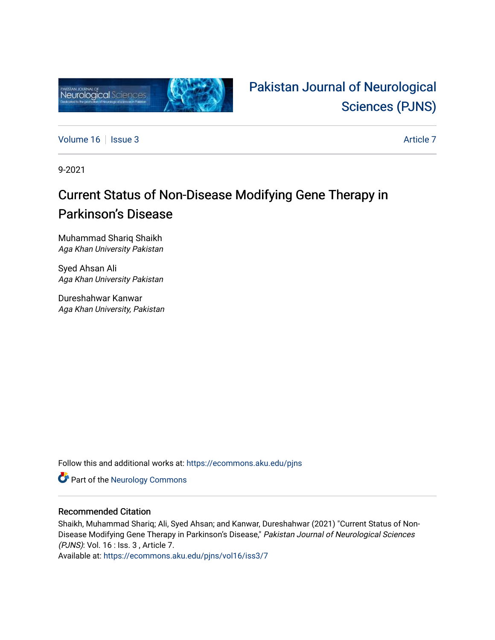

# [Pakistan Journal of Neurological](https://ecommons.aku.edu/pjns)  [Sciences \(PJNS\)](https://ecommons.aku.edu/pjns)

[Volume 16](https://ecommons.aku.edu/pjns/vol16) | [Issue 3](https://ecommons.aku.edu/pjns/vol16/iss3) Article 7

9-2021

## Current Status of Non-Disease Modifying Gene Therapy in Parkinson's Disease

Muhammad Shariq Shaikh Aga Khan University Pakistan

Syed Ahsan Ali Aga Khan University Pakistan

Dureshahwar Kanwar Aga Khan University, Pakistan

Follow this and additional works at: [https://ecommons.aku.edu/pjns](https://ecommons.aku.edu/pjns?utm_source=ecommons.aku.edu%2Fpjns%2Fvol16%2Fiss3%2F7&utm_medium=PDF&utm_campaign=PDFCoverPages) 

**Part of the [Neurology Commons](http://network.bepress.com/hgg/discipline/692?utm_source=ecommons.aku.edu%2Fpjns%2Fvol16%2Fiss3%2F7&utm_medium=PDF&utm_campaign=PDFCoverPages)** 

### Recommended Citation

Shaikh, Muhammad Shariq; Ali, Syed Ahsan; and Kanwar, Dureshahwar (2021) "Current Status of Non-Disease Modifying Gene Therapy in Parkinson's Disease," Pakistan Journal of Neurological Sciences (PJNS): Vol. 16 : Iss. 3 , Article 7.

Available at: [https://ecommons.aku.edu/pjns/vol16/iss3/7](https://ecommons.aku.edu/pjns/vol16/iss3/7?utm_source=ecommons.aku.edu%2Fpjns%2Fvol16%2Fiss3%2F7&utm_medium=PDF&utm_campaign=PDFCoverPages)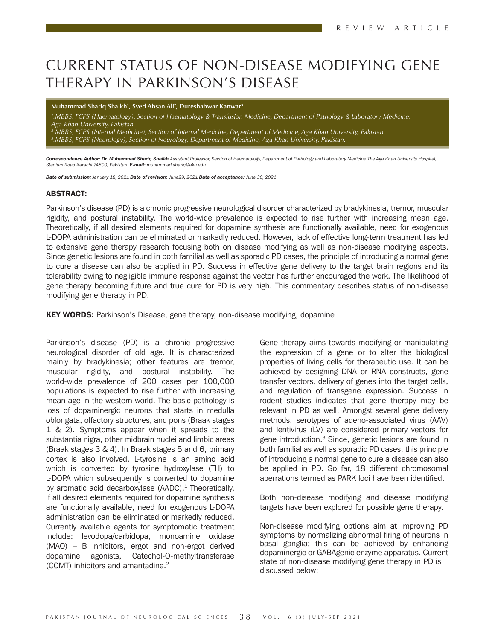## CURRENT STATUS OF NON-DISEASE MODIFYING GENE THERAPY IN PARKINSON'S DISEASE

**Muhammad Shariq Shaikh1 , Syed Ahsan Ali2 , Dureshahwar Kanwar3**

*1 .MBBS, FCPS (Haematology), Section of Haematology & Transfusion Medicine, Department of Pathology & Laboratory Medicine, Aga Khan University, Pakistan.*

*2 .MBBS, FCPS (Internal Medicine), Section of Internal Medicine, Department of Medicine, Aga Khan University, Pakistan. 3 .MBBS, FCPS (Neurology), Section of Neurology, Department of Medicine, Aga Khan University, Pakistan.*

*Correspondence Author: Dr. Muhammad Shariq Shaikh Assistant Professor, Section of Haematology, Department of Pathology and Laboratory Medicine The Aga Khan University Hospital, Stadium Road Karachi 74800, Pakistan. E-mail: muhammad.shariq@aku.edu*

*Date of submission: January 18, 2021 Date of revision: June29, 2021 Date of acceptance: June 30, 2021*

#### ABSTRACT:

Parkinson's disease (PD) is a chronic progressive neurological disorder characterized by bradykinesia, tremor, muscular rigidity, and postural instability. The world-wide prevalence is expected to rise further with increasing mean age. Theoretically, if all desired elements required for dopamine synthesis are functionally available, need for exogenous L-DOPA administration can be eliminated or markedly reduced. However, lack of effective long-term treatment has led to extensive gene therapy research focusing both on disease modifying as well as non-disease modifying aspects. Since genetic lesions are found in both familial as well as sporadic PD cases, the principle of introducing a normal gene to cure a disease can also be applied in PD. Success in effective gene delivery to the target brain regions and its tolerability owing to negligible immune response against the vector has further encouraged the work. The likelihood of gene therapy becoming future and true cure for PD is very high. This commentary describes status of non-disease modifying gene therapy in PD.

KEY WORDS: Parkinson's Disease, gene therapy, non-disease modifying, dopamine

Parkinson's disease (PD) is a chronic progressive neurological disorder of old age. It is characterized mainly by bradykinesia; other features are tremor, muscular rigidity, and postural instability. The world-wide prevalence of 200 cases per 100,000 populations is expected to rise further with increasing mean age in the western world. The basic pathology is loss of dopaminergic neurons that starts in medulla oblongata, olfactory structures, and pons (Braak stages 1 & 2). Symptoms appear when it spreads to the substantia nigra, other midbrain nuclei and limbic areas (Braak stages 3 & 4). In Braak stages 5 and 6, primary cortex is also involved. L-tyrosine is an amino acid which is converted by tyrosine hydroxylase (TH) to L-DOPA which subsequently is converted to dopamine by aromatic acid decarboxylase  $(AADC)$ .<sup>1</sup> Theoretically, if all desired elements required for dopamine synthesis are functionally available, need for exogenous L-DOPA administration can be eliminated or markedly reduced. Currently available agents for symptomatic treatment include: levodopa/carbidopa, monoamine oxidase (MAO) – B inhibitors, ergot and non-ergot derived dopamine agonists, Catechol-O-methyltransferase (COMT) inhibitors and amantadine.2

Gene therapy aims towards modifying or manipulating the expression of a gene or to alter the biological properties of living cells for therapeutic use. It can be achieved by designing DNA or RNA constructs, gene transfer vectors, delivery of genes into the target cells, and regulation of transgene expression. Success in rodent studies indicates that gene therapy may be relevant in PD as well. Amongst several gene delivery methods, serotypes of adeno-associated virus (AAV) and lentivirus (LV) are considered primary vectors for gene introduction.3 Since, genetic lesions are found in both familial as well as sporadic PD cases, this principle of introducing a normal gene to cure a disease can also be applied in PD. So far, 18 different chromosomal aberrations termed as PARK loci have been identified.

Both non-disease modifying and disease modifying targets have been explored for possible gene therapy.

Non-disease modifying options aim at improving PD symptoms by normalizing abnormal firing of neurons in basal ganglia; this can be achieved by enhancing dopaminergic or GABAgenic enzyme apparatus. Current state of non-disease modifying gene therapy in PD is discussed below: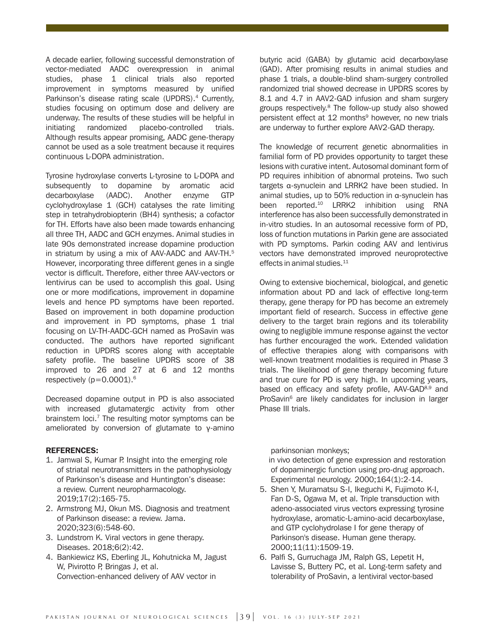A decade earlier, following successful demonstration of vector-mediated AADC overexpression in animal studies, phase 1 clinical trials also reported improvement in symptoms measured by unified Parkinson's disease rating scale (UPDRS).<sup>4</sup> Currently, studies focusing on optimum dose and delivery are underway. The results of these studies will be helpful in initiating randomized placebo-controlled trials. Although results appear promising, AADC gene-therapy cannot be used as a sole treatment because it requires continuous L-DOPA administration.

Tyrosine hydroxylase converts L-tyrosine to L-DOPA and subsequently to dopamine by aromatic acid decarboxylase (AADC). Another enzyme GTP cyclohydroxylase 1 (GCH) catalyses the rate limiting step in tetrahydrobiopterin (BH4) synthesis; a cofactor for TH. Efforts have also been made towards enhancing all three TH, AADC and GCH enzymes. Animal studies in late 90s demonstrated increase dopamine production in striatum by using a mix of AAV-AADC and AAV-TH.<sup>5</sup> However, incorporating three different genes in a single vector is difficult. Therefore, either three AAV-vectors or lentivirus can be used to accomplish this goal. Using one or more modifications, improvement in dopamine levels and hence PD symptoms have been reported. Based on improvement in both dopamine production and improvement in PD symptoms, phase 1 trial focusing on LV-TH-AADC-GCH named as ProSavin was conducted. The authors have reported significant reduction in UPDRS scores along with acceptable safety profile. The baseline UPDRS score of 38 improved to 26 and 27 at 6 and 12 months respectively  $(p=0.0001).$ <sup>6</sup>

Decreased dopamine output in PD is also associated with increased glutamatergic activity from other brainstem loci. $<sup>7</sup>$  The resulting motor symptoms can be</sup> ameliorated by conversion of glutamate to  $γ$ -amino

#### REFERENCES:

- 1. Jamwal S, Kumar P. Insight into the emerging role of striatal neurotransmitters in the pathophysiology of Parkinson's disease and Huntington's disease: a review. Current neuropharmacology. 2019;17(2):165-75.
- 2. Armstrong MJ, Okun MS. Diagnosis and treatment of Parkinson disease: a review. Jama. 2020;323(6):548-60.
- 3. Lundstrom K. Viral vectors in gene therapy. Diseases. 2018;6(2):42.
- 4. Bankiewicz KS, Eberling JL, Kohutnicka M, Jagust W, Pivirotto P, Bringas J, et al. Convection-enhanced delivery of AAV vector in

butyric acid (GABA) by glutamic acid decarboxylase (GAD). After promising results in animal studies and phase 1 trials, a double-blind sham-surgery controlled randomized trial showed decrease in UPDRS scores by 8.1 and 4.7 in AAV2-GAD infusion and sham surgery groups respectively.8 The follow-up study also showed persistent effect at 12 months<sup>9</sup> however, no new trials are underway to further explore AAV2-GAD therapy.

The knowledge of recurrent genetic abnormalities in familial form of PD provides opportunity to target these lesions with curative intent. Autosomal dominant form of PD requires inhibition of abnormal proteins. Two such targets α-synuclein and LRRK2 have been studied. In animal studies, up to 50% reduction in α-synuclein has been reported.<sup>10</sup> LRRK2 inhibition using RNA interference has also been successfully demonstrated in in-vitro studies. In an autosomal recessive form of PD, loss of function mutations in Parkin gene are associated with PD symptoms. Parkin coding AAV and lentivirus vectors have demonstrated improved neuroprotective effects in animal studies.<sup>11</sup>

Owing to extensive biochemical, biological, and genetic information about PD and lack of effective long-term therapy, gene therapy for PD has become an extremely important field of research. Success in effective gene delivery to the target brain regions and its tolerability owing to negligible immune response against the vector has further encouraged the work. Extended validation of effective therapies along with comparisons with well-known treatment modalities is required in Phase 3 trials. The likelihood of gene therapy becoming future and true cure for PD is very high. In upcoming years, based on efficacy and safety profile, AAV-GAD<sup>8,9</sup> and ProSavin<sup>6</sup> are likely candidates for inclusion in larger Phase III trials.

parkinsonian monkeys;

 in vivo detection of gene expression and restoration of dopaminergic function using pro-drug approach. Experimental neurology. 2000;164(1):2-14.

- 5. Shen Y, Muramatsu S-I, Ikeguchi K, Fujimoto K-I, Fan D-S, Ogawa M, et al. Triple transduction with adeno-associated virus vectors expressing tyrosine hydroxylase, aromatic-L-amino-acid decarboxylase, and GTP cyclohydrolase I for gene therapy of Parkinson's disease. Human gene therapy. 2000;11(11):1509-19.
- 6. Palfi S, Gurruchaga JM, Ralph GS, Lepetit H, Lavisse S, Buttery PC, et al. Long-term safety and tolerability of ProSavin, a lentiviral vector-based